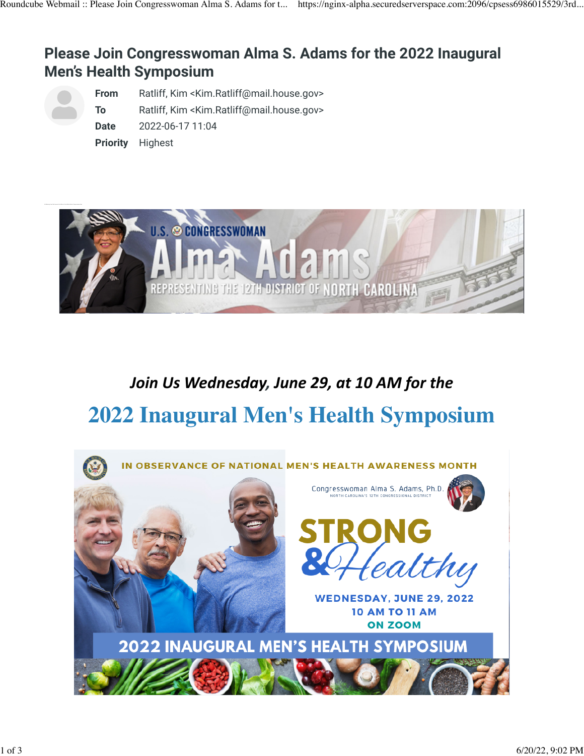## **Please Join Congresswoman Alma S. Adams for the 2022 Inaugural Men's Health Symposium**

**From** Ratliff, Kim <Kim.Ratliff@mail.house.gov> **To** Ratliff, Kim <Kim.Ratliff@mail.house.gov> **Date** 2022-06-17 11:04 **Priority** Highest



## *Join* Us Wednesday, June 29, at 10 AM for the **2022 Inaugural Men's Health Symposium**

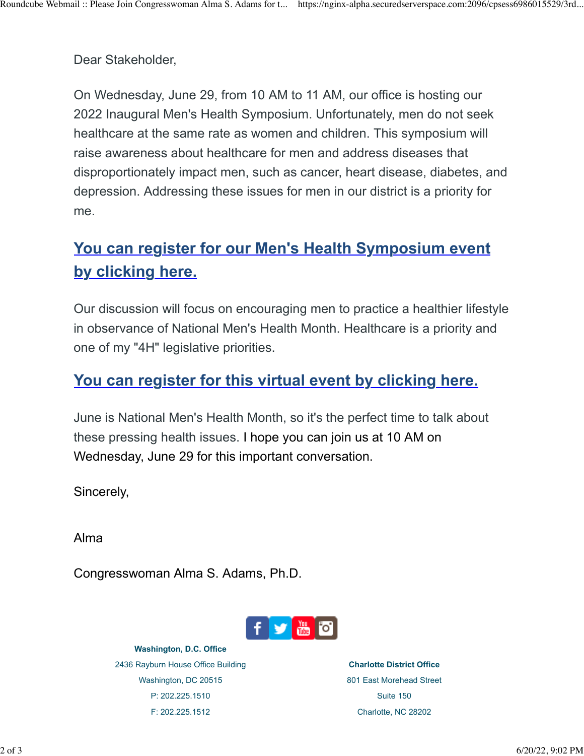Dear Stakeholder,

On Wednesday, June 29, from 10 AM to 11 AM, our office is hosting our 2022 Inaugural Men's Health Symposium. Unfortunately, men do not seek healthcare at the same rate as women and children. This symposium will raise awareness about healthcare for men and address diseases that disproportionately impact men, such as cancer, heart disease, diabetes, and depression. Addressing these issues for men in our district is a priority for me.

## **[You can register for our Men's Health Symposium event](https://urldefense.com/v3/__https:/us06web.zoom.us/webinar/register/WN_DNnnCuJgRXaKoKB3AJha1A__;!!Ckt11KVezJIME51BYf4a6hrLATHilnk!Vf79O-ythGrEYgRwuIQwpngxgu1G_URp1ZcrHNvar0M32LPRo33GidVtwMXk11WropkQQfye$) [by clicking here.](https://urldefense.com/v3/__https:/us06web.zoom.us/webinar/register/WN_DNnnCuJgRXaKoKB3AJha1A__;!!Ckt11KVezJIME51BYf4a6hrLATHilnk!Vf79O-ythGrEYgRwuIQwpngxgu1G_URp1ZcrHNvar0M32LPRo33GidVtwMXk11WropkQQfye$)**

Our discussion will focus on encouraging men to practice a healthier lifestyle in observance of National Men's Health Month. Healthcare is a priority and one of my "4H" legislative priorities.

## **[You can register for this virtual event by clicking here.](https://urldefense.com/v3/__https:/us06web.zoom.us/webinar/register/WN_DNnnCuJgRXaKoKB3AJha1A__;!!Ckt11KVezJIME51BYf4a6hrLATHilnk!Vf79O-ythGrEYgRwuIQwpngxgu1G_URp1ZcrHNvar0M32LPRo33GidVtwMXk11WropkQQfye$)**

June is National Men's Health Month, so it's the perfect time to talk about these pressing health issues. I hope you can join us at 10 AM on Wednesday, June 29 for this important conversation.

Sincerely,

Alma

Congresswoman Alma S. Adams, Ph.D.



**Washington, D.C. Office** 2436 Rayburn House Office Building Washington, DC 20515 P: 202.225.1510 F: 202.225.1512

**Charlotte District Office** 801 East Morehead Street Suite 150 Charlotte, NC 28202